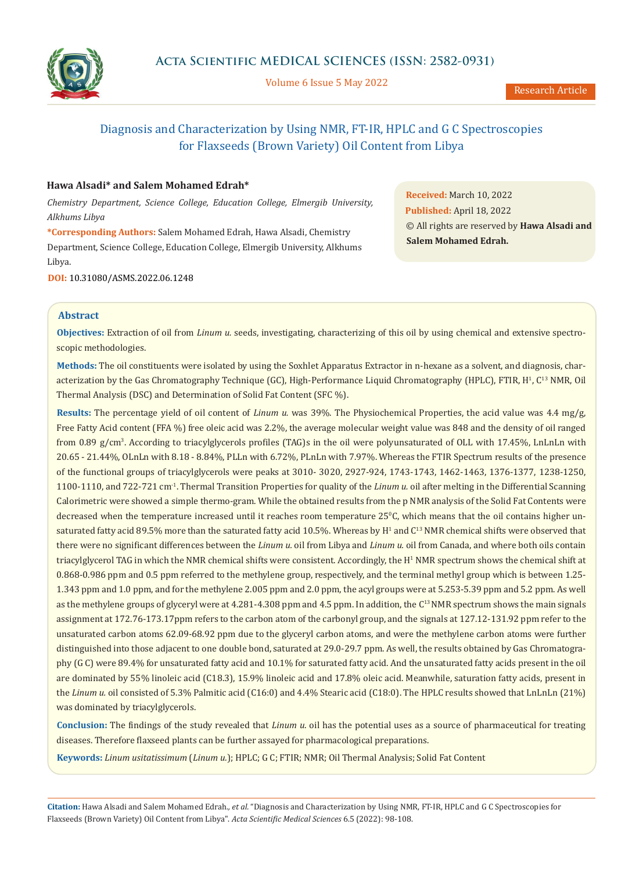

Volume 6 Issue 5 May 2022

# Diagnosis and Characterization by Using NMR, FT-IR, HPLC and G C Spectroscopies for Flaxseeds (Brown Variety) Oil Content from Libya

### **Hawa Alsadi\* and Salem Mohamed Edrah\***

*Chemistry Department, Science College, Education College, Elmergib University, Alkhums Libya*

**\*Corresponding Authors:** Salem Mohamed Edrah, Hawa Alsadi, Chemistry Department, Science College, Education College, Elmergib University, Alkhums Libya.

**DOI:** [10.31080/ASMS.2022.06.1248](https://actascientific.com/ASMS/pdf/ASMS-06-1248.pdf)

**Received:** March 10, 2022 **Published:** April 18, 2022 © All rights are reserved by **Hawa Alsadi and Salem Mohamed Edrah.**

## **Abstract**

**Objectives:** Extraction of oil from *Linum u.* seeds, investigating, characterizing of this oil by using chemical and extensive spectroscopic methodologies.

**Methods:** The oil constituents were isolated by using the Soxhlet Apparatus Extractor in n-hexane as a solvent, and diagnosis, characterization by the Gas Chromatography Technique (GC), High-Performance Liquid Chromatography (HPLC), FTIR, H<sup>1</sup>, C<sup>13</sup> NMR, Oil Thermal Analysis (DSC) and Determination of Solid Fat Content (SFC %).

**Results:** The percentage yield of oil content of *Linum u.* was 39%. The Physiochemical Properties, the acid value was 4.4 mg/g, Free Fatty Acid content (FFA %) free oleic acid was 2.2%, the average molecular weight value was 848 and the density of oil ranged from 0.89 g/cm<sup>3</sup> . According to triacylglycerols profiles (TAG)s in the oil were polyunsaturated of OLL with 17.45%, LnLnLn with 20.65 - 21.44%, OLnLn with 8.18 - 8.84%, PLLn with 6.72%, PLnLn with 7.97%. Whereas the FTIR Spectrum results of the presence of the functional groups of triacylglycerols were peaks at 3010- 3020, 2927-924, 1743-1743, 1462-1463, 1376-1377, 1238-1250, 1100-1110, and 722-721 cm-1. Thermal Transition Properties for quality of the *Linum u.* oil after melting in the Differential Scanning Calorimetric were showed a simple thermo-gram. While the obtained results from the p NMR analysis of the Solid Fat Contents were decreased when the temperature increased until it reaches room temperature 25°C, which means that the oil contains higher unsaturated fatty acid 89.5% more than the saturated fatty acid 10.5%. Whereas by  $\mathrm{H}^1$  and  $\mathrm{C}^{13}$  NMR chemical shifts were observed that there were no significant differences between the *Linum u.* oil from Libya and *Linum u.* oil from Canada, and where both oils contain triacylglycerol TAG in which the NMR chemical shifts were consistent. Accordingly, the H<sup>1</sup> NMR spectrum shows the chemical shift at 0.868-0.986 ppm and 0.5 ppm referred to the methylene group, respectively, and the terminal methyl group which is between 1.25- 1.343 ppm and 1.0 ppm, and for the methylene 2.005 ppm and 2.0 ppm, the acyl groups were at 5.253-5.39 ppm and 5.2 ppm. As well as the methylene groups of glyceryl were at 4.281-4.308 ppm and 4.5 ppm. In addition, the C13 NMR spectrum shows the main signals assignment at 172.76-173.17ppm refers to the carbon atom of the carbonyl group, and the signals at 127.12-131.92 ppm refer to the unsaturated carbon atoms 62.09-68.92 ppm due to the glyceryl carbon atoms, and were the methylene carbon atoms were further distinguished into those adjacent to one double bond, saturated at 29.0-29.7 ppm. As well, the results obtained by Gas Chromatography (G C) were 89.4% for unsaturated fatty acid and 10.1% for saturated fatty acid. And the unsaturated fatty acids present in the oil are dominated by 55% linoleic acid (C18.3), 15.9% linoleic acid and 17.8% oleic acid. Meanwhile, saturation fatty acids, present in the *Linum u.* oil consisted of 5.3% Palmitic acid (C16:0) and 4.4% Stearic acid (C18:0). The HPLC results showed that LnLnLn (21%) was dominated by triacylglycerols.

**Conclusion:** The findings of the study revealed that *Linum u*. oil has the potential uses as a source of pharmaceutical for treating diseases. Therefore flaxseed plants can be further assayed for pharmacological preparations.

**Keywords:** *Linum usitatissimum* (*Linum u.*); HPLC; G C; FTIR; NMR; Oil Thermal Analysis; Solid Fat Content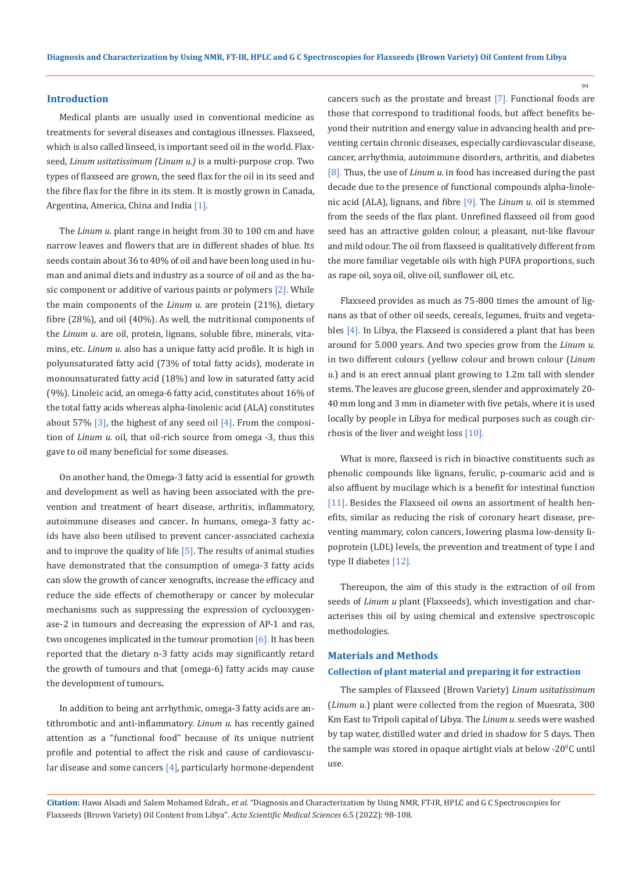#### **Introduction**

Medical plants are usually used in conventional medicine as treatments for several diseases and contagious illnesses. Flaxseed, which is also called linseed, is important seed oil in the world. Flaxseed, *Linum usitatissimum (Linum u.)* is a multi-purpose crop. Two types of flaxseed are grown, the seed flax for the oil in its seed and the fibre flax for the fibre in its stem. It is mostly grown in Canada, Argentina, America, China and India [1].

The *Linum u.* plant range in height from 30 to 100 cm and have narrow leaves and flowers that are in different shades of blue. Its seeds contain about 36 to 40% of oil and have been long used in human and animal diets and industry as a source of oil and as the basic component or additive of various paints or polymers [2]. While the main components of the *Linum u.* are protein (21%), dietary fibre (28%), and oil (40%). As well, the nutritional components of the *Linum u.* are oil, protein, lignans, soluble fibre, minerals, vitamins, etc. *Linum u.* also has a unique fatty acid profile. It is high in polyunsaturated fatty acid (73% of total fatty acids), moderate in monounsaturated fatty acid (18%) and low in saturated fatty acid (9%). Linoleic acid, an omega-6 fatty acid, constitutes about 16% of the total fatty acids whereas alpha-linolenic acid (ALA) constitutes about 57%  $\lceil 3 \rceil$ , the highest of any seed oil  $\lceil 4 \rceil$ . From the composition of *Linum u.* oil, that oil-rich source from omega -3, thus this gave to oil many beneficial for some diseases.

On another hand, the Omega-3 fatty acid is essential for growth and development as well as having been associated with the prevention and treatment of heart disease, arthritis, inflammatory, autoimmune diseases and cancer**.** In humans, omega-3 fatty acids have also been utilised to prevent cancer-associated cachexia and to improve the quality of life  $[5]$ . The results of animal studies have demonstrated that the consumption of omega-3 fatty acids can slow the growth of cancer xenografts, increase the efficacy and reduce the side effects of chemotherapy or cancer by molecular mechanisms such as suppressing the expression of cyclooxygenase-2 in tumours and decreasing the expression of AP-1 and ras, two oncogenes implicated in the tumour promotion [6]. It has been reported that the dietary n-3 fatty acids may significantly retard the growth of tumours and that (omega-6) fatty acids may cause the development of tumours**.**

In addition to being ant arrhythmic, omega-3 fatty acids are antithrombotic and anti-inflammatory. *Linum u.* has recently gained attention as a "functional food" because of its unique nutrient profile and potential to affect the risk and cause of cardiovascular disease and some cancers [4], particularly hormone-dependent cancers such as the prostate and breast [7]. Functional foods are those that correspond to traditional foods, but affect benefits beyond their nutrition and energy value in advancing health and preventing certain chronic diseases, especially cardiovascular disease, cancer, arrhythmia, autoimmune disorders, arthritis, and diabetes [8]. Thus, the use of *Linum u.* in food has increased during the past decade due to the presence of functional compounds alpha-linolenic acid (ALA), lignans, and fibre [9]. The *Linum u.* oil is stemmed from the seeds of the flax plant. Unrefined flaxseed oil from good seed has an attractive golden colour, a pleasant, nut-like flavour and mild odour. The oil from flaxseed is qualitatively different from the more familiar vegetable oils with high PUFA proportions, such as rape oil, soya oil, olive oil, sunflower oil, etc.

Flaxseed provides as much as 75-800 times the amount of lignans as that of other oil seeds, cereals, legumes, fruits and vegetables [4]. In Libya, the Flaxseed is considered a plant that has been around for 5.000 years. And two species grow from the *Linum u.*  in two different colours (yellow colour and brown colour (*Linum u.*) and is an erect annual plant growing to 1.2m tall with slender stems. The leaves are glucose green, slender and approximately 20- 40 mm long and 3 mm in diameter with five petals, where it is used locally by people in Libya for medical purposes such as cough cirrhosis of the liver and weight loss [10].

What is more, flaxseed is rich in bioactive constituents such as phenolic compounds like lignans, ferulic, p-coumaric acid and is also affluent by mucilage which is a benefit for intestinal function [11]. Besides the Flaxseed oil owns an assortment of health benefits, similar as reducing the risk of coronary heart disease, preventing mammary, colon cancers, lowering plasma low-density lipoprotein (LDL) levels, the prevention and treatment of type I and type II diabetes [12].

Thereupon, the aim of this study is the extraction of oil from seeds of *Linum u* plant (Flaxseeds), which investigation and characterises this oil by using chemical and extensive spectroscopic methodologies.

#### **Materials and Methods**

#### **Collection of plant material and preparing it for extraction**

The samples of Flaxseed (Brown Variety) *Linum usitatissimum*  (*Linum u.*) plant were collected from the region of Muesrata, 300 Km East to Tripoli capital of Libya. The *Linum u.* seeds were washed by tap water, distilled water and dried in shadow for 5 days. Then the sample was stored in opaque airtight vials at below -20 $\rm ^oC$  until use.

**Citation:** Hawa Alsadi and Salem Mohamed Edrah*., et al.* "Diagnosis and Characterization by Using NMR, FT-IR, HPLC and G C Spectroscopies for Flaxseeds (Brown Variety) Oil Content from Libya". *Acta Scientific Medical Sciences* 6.5 (2022): 98-108.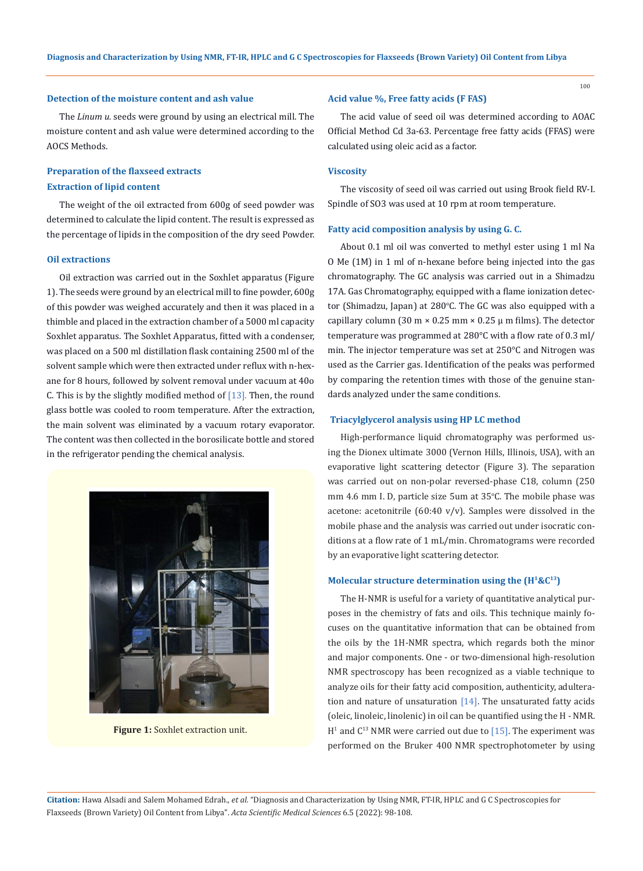#### **Detection of the moisture content and ash value**

The *Linum u.* seeds were ground by using an electrical mill. The moisture content and ash value were determined according to the AOCS Methods.

## **Preparation of the flaxseed extracts Extraction of lipid content**

The weight of the oil extracted from 600g of seed powder was determined to calculate the lipid content. The result is expressed as the percentage of lipids in the composition of the dry seed Powder.

### **Oil extractions**

Oil extraction was carried out in the Soxhlet apparatus (Figure 1). The seeds were ground by an electrical mill to fine powder, 600g of this powder was weighed accurately and then it was placed in a thimble and placed in the extraction chamber of a 5000 ml capacity Soxhlet apparatus. The Soxhlet Apparatus, fitted with a condenser, was placed on a 500 ml distillation flask containing 2500 ml of the solvent sample which were then extracted under reflux with n-hexane for 8 hours, followed by solvent removal under vacuum at 40o C. This is by the slightly modified method of  $[13]$ . Then, the round glass bottle was cooled to room temperature. After the extraction, the main solvent was eliminated by a vacuum rotary evaporator. The content was then collected in the borosilicate bottle and stored in the refrigerator pending the chemical analysis.



Figure 1: Soxhlet extraction unit.

#### **Acid value %, Free fatty acids (F FAS)**

The acid value of seed oil was determined according to AOAC Official Method Cd 3a-63. Percentage free fatty acids (FFAS) were calculated using oleic acid as a factor.

#### **Viscosity**

The viscosity of seed oil was carried out using Brook field RV-I. Spindle of SO3 was used at 10 rpm at room temperature.

#### **Fatty acid composition analysis by using G. C.**

About 0.1 ml oil was converted to methyl ester using 1 ml Na O Me (1M) in 1 ml of n-hexane before being injected into the gas chromatography. The GC analysis was carried out in a Shimadzu 17A. Gas Chromatography, equipped with a flame ionization detector (Shimadzu, Japan) at 280°C. The GC was also equipped with a capillary column (30 m  $\times$  0.25 mm  $\times$  0.25  $\mu$  m films). The detector temperature was programmed at 280°C with a flow rate of 0.3 ml/ min. The injector temperature was set at 250°C and Nitrogen was used as the Carrier gas. Identification of the peaks was performed by comparing the retention times with those of the genuine standards analyzed under the same conditions.

#### **Triacylglycerol analysis using HP LC method**

High-performance liquid chromatography was performed using the Dionex ultimate 3000 (Vernon Hills, Illinois, USA), with an evaporative light scattering detector (Figure 3). The separation was carried out on non-polar reversed-phase C18, column (250 mm 4.6 mm I. D, particle size 5um at 35°C. The mobile phase was acetone: acetonitrile (60:40 v/v). Samples were dissolved in the mobile phase and the analysis was carried out under isocratic conditions at a flow rate of 1 mL/min. Chromatograms were recorded by an evaporative light scattering detector.

#### **Molecular structure determination using the (H1&C13)**

The H-NMR is useful for a variety of quantitative analytical purposes in the chemistry of fats and oils. This technique mainly focuses on the quantitative information that can be obtained from the oils by the 1H-NMR spectra, which regards both the minor and major components. One - or two-dimensional high-resolution NMR spectroscopy has been recognized as a viable technique to analyze oils for their fatty acid composition, authenticity, adulteration and nature of unsaturation  $[14]$ . The unsaturated fatty acids (oleic, linoleic, linolenic) in oil can be quantified using the H - NMR.  $H<sup>1</sup>$  and  $C<sup>13</sup>$  NMR were carried out due to [15]. The experiment was performed on the Bruker 400 NMR spectrophotometer by using

**Citation:** Hawa Alsadi and Salem Mohamed Edrah*., et al.* "Diagnosis and Characterization by Using NMR, FT-IR, HPLC and G C Spectroscopies for Flaxseeds (Brown Variety) Oil Content from Libya". *Acta Scientific Medical Sciences* 6.5 (2022): 98-108.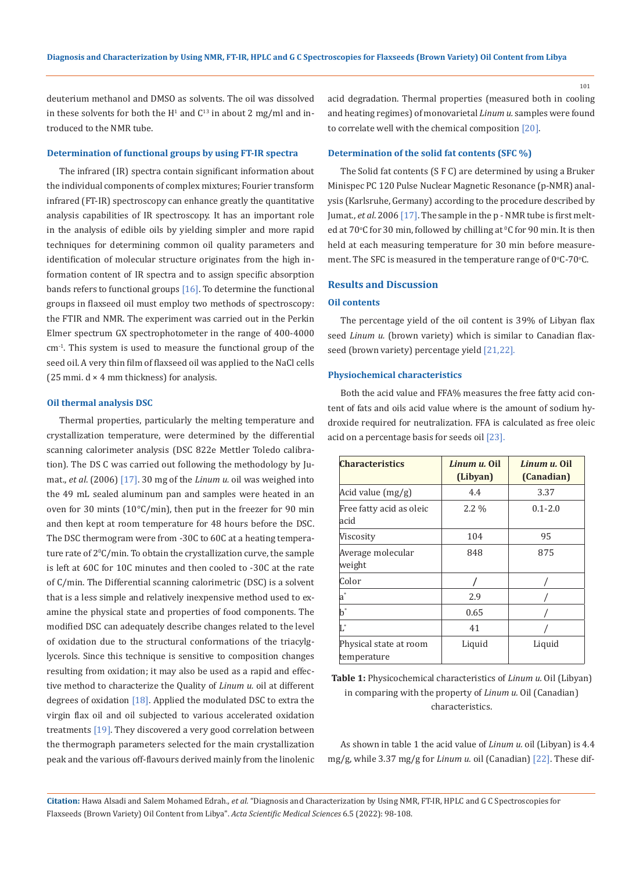deuterium methanol and DMSO as solvents. The oil was dissolved in these solvents for both the  $H<sup>1</sup>$  and  $C<sup>13</sup>$  in about 2 mg/ml and introduced to the NMR tube.

#### **Determination of functional groups by using FT-IR spectra**

The infrared (IR) spectra contain significant information about the individual components of complex mixtures; Fourier transform infrared (FT-IR) spectroscopy can enhance greatly the quantitative analysis capabilities of IR spectroscopy. It has an important role in the analysis of edible oils by yielding simpler and more rapid techniques for determining common oil quality parameters and identification of molecular structure originates from the high information content of IR spectra and to assign specific absorption bands refers to functional groups  $[16]$ . To determine the functional groups in flaxseed oil must employ two methods of spectroscopy: the FTIR and NMR. The experiment was carried out in the Perkin Elmer spectrum GX spectrophotometer in the range of 400-4000 cm-1. This system is used to measure the functional group of the seed oil. A very thin film of flaxseed oil was applied to the NaCl cells (25 mmi.  $d \times 4$  mm thickness) for analysis.

#### **Oil thermal analysis DSC**

Thermal properties, particularly the melting temperature and crystallization temperature, were determined by the differential scanning calorimeter analysis (DSC 822e Mettler Toledo calibration). The DS C was carried out following the methodology by Jumat., *et al*. (2006) [17]. 30 mg of the *Linum u.* oil was weighed into the 49 mL sealed aluminum pan and samples were heated in an oven for 30 mints (10°C/min), then put in the freezer for 90 min and then kept at room temperature for 48 hours before the DSC. The DSC thermogram were from -30C to 60C at a heating temperature rate of 20 C/min. To obtain the crystallization curve, the sample is left at 60C for 10C minutes and then cooled to -30C at the rate of C/min. The Differential scanning calorimetric (DSC) is a solvent that is a less simple and relatively inexpensive method used to examine the physical state and properties of food components. The modified DSC can adequately describe changes related to the level of oxidation due to the structural conformations of the triacylglycerols. Since this technique is sensitive to composition changes resulting from oxidation; it may also be used as a rapid and effective method to characterize the Quality of *Linum u.* oil at different degrees of oxidation [18]. Applied the modulated DSC to extra the virgin flax oil and oil subjected to various accelerated oxidation treatments [19]. They discovered a very good correlation between the thermograph parameters selected for the main crystallization peak and the various off-flavours derived mainly from the linolenic acid degradation. Thermal properties (measured both in cooling and heating regimes) of monovarietal *Linum u.* samples were found to correlate well with the chemical composition [20].

#### **Determination of the solid fat contents (SFC %)**

The Solid fat contents (S F C) are determined by using a Bruker Minispec PC 120 Pulse Nuclear Magnetic Resonance (p-NMR) analysis (Karlsruhe, Germany) according to the procedure described by Jumat., *et al.* 2006 [17]. The sample in the p - NMR tube is first melted at 70°C for 30 min, followed by chilling at °C for 90 min. It is then held at each measuring temperature for 30 min before measurement. The SFC is measured in the temperature range of  $0^{\circ}$ C-70 $^{\circ}$ C.

#### **Results and Discussion**

#### **Oil contents**

The percentage yield of the oil content is 39% of Libyan flax seed *Linum u.* (brown variety) which is similar to Canadian flaxseed (brown variety) percentage yield [21,22].

#### **Physiochemical characteristics**

Both the acid value and FFA% measures the free fatty acid content of fats and oils acid value where is the amount of sodium hydroxide required for neutralization. FFA is calculated as free oleic acid on a percentage basis for seeds oil [23].

| <b>Characteristics</b>                | Linum u. Oil<br>(Libyan) | Linum u. Oil<br>(Canadian) |
|---------------------------------------|--------------------------|----------------------------|
| Acid value (mg/g)                     | 4.4                      | 3.37                       |
| Free fatty acid as oleic<br>acid      | $2.2\%$                  | $0.1 - 2.0$                |
| Viscositv                             | 104                      | 95                         |
| Average molecular<br>weight           | 848                      | 875                        |
| Color                                 |                          |                            |
| a*                                    | 2.9                      |                            |
| $\mathbf{b}^*$                        | 0.65                     |                            |
| $\mathsf{L}^*$                        | 41                       |                            |
| Physical state at room<br>temperature | Liquid                   | Liquid                     |

## **Table 1:** Physicochemical characteristics of *Linum u.* Oil (Libyan) in comparing with the property of *Linum u.* Oil (Canadian) characteristics.

As shown in table 1 the acid value of *Linum u.* oil (Libyan) is 4.4 mg/g, while 3.37 mg/g for *Linum u.* oil (Canadian) [22]. These dif-

**Citation:** Hawa Alsadi and Salem Mohamed Edrah*., et al.* "Diagnosis and Characterization by Using NMR, FT-IR, HPLC and G C Spectroscopies for Flaxseeds (Brown Variety) Oil Content from Libya". *Acta Scientific Medical Sciences* 6.5 (2022): 98-108.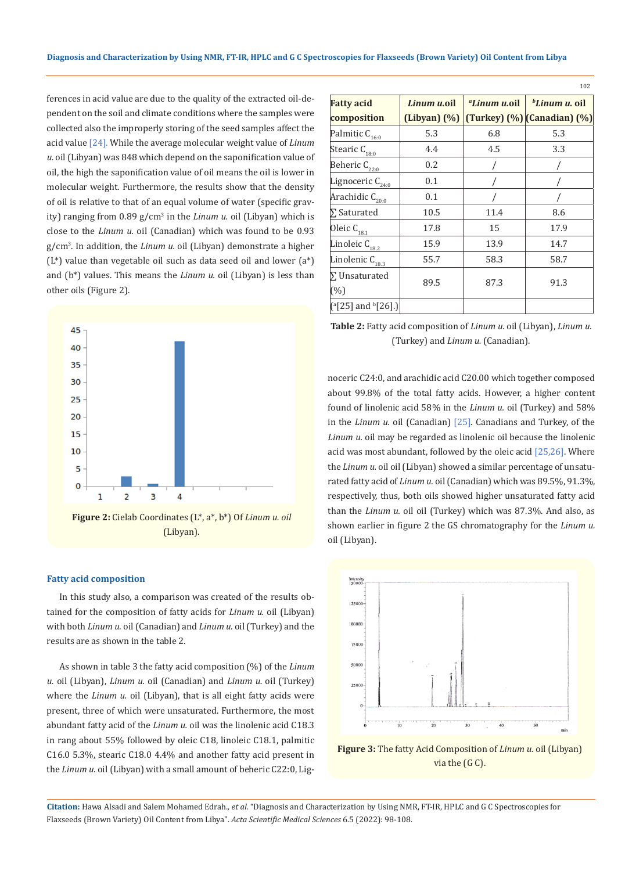ferences in acid value are due to the quality of the extracted oil-dependent on the soil and climate conditions where the samples were collected also the improperly storing of the seed samples affect the acid value [24]. While the average molecular weight value of *Linum u.* oil (Libyan) was 848 which depend on the saponification value of oil, the high the saponification value of oil means the oil is lower in molecular weight. Furthermore, the results show that the density of oil is relative to that of an equal volume of water (specific gravity) ranging from 0.89 g/cm<sup>3</sup> in the *Linum u.* oil (Libyan) which is close to the *Linum u.* oil (Canadian) which was found to be 0.93 g/cm<sup>3</sup> . In addition, the *Linum u.* oil (Libyan) demonstrate a higher  $(L^*)$  value than vegetable oil such as data seed oil and lower  $(a^*)$ and (b\*) values. This means the *Linum u.* oil (Libyan) is less than other oils (Figure 2).



#### **Fatty acid composition**

In this study also, a comparison was created of the results obtained for the composition of fatty acids for *Linum u.* oil (Libyan) with both *Linum u.* oil (Canadian) and *Linum u.* oil (Turkey) and the results are as shown in the table 2.

As shown in table 3 the fatty acid composition (%) of the *Linum u.* oil (Libyan), *Linum u.* oil (Canadian) and *Linum u.* oil (Turkey) where the *Linum u.* oil (Libyan), that is all eight fatty acids were present, three of which were unsaturated. Furthermore, the most abundant fatty acid of the *Linum u.* oil was the linolenic acid C18.3 in rang about 55% followed by oleic C18, linoleic C18.1, palmitic C16.0 5.3%, stearic C18.0 4.4% and another fatty acid present in the *Linum u.* oil (Libyan) with a small amount of beheric C22:0, Lig-

| <b>Fatty acid</b>                             | Linum u.oil       | "Linum u.oil | <i>bLinum u.</i> oil        |
|-----------------------------------------------|-------------------|--------------|-----------------------------|
| composition                                   | $(Libyan)$ $(\%)$ |              | (Turkey) (%) (Canadian) (%) |
| Palmitic $C_{16:0}$                           | 5.3               | 6.8          | 5.3                         |
| Stearic $C_{18:0}$                            | 4.4               | 4.5          | 3.3                         |
| Beheric $C_{22:0}$                            | 0.2               |              |                             |
| Lignoceric $C_{24:0}$                         | 0.1               |              |                             |
| Arachidic $C_{20:0}$                          | 0.1               |              |                             |
| $\Sigma$ Saturated                            | 10.5              | 11.4         | 8.6                         |
| Oleic C <sub>18.1</sub>                       | 17.8              | 15           | 17.9                        |
| Linoleic $C_{18.2}$                           | 15.9              | 13.9         | 14.7                        |
| Linolenic $C_{18.3}$                          | 55.7              | 58.3         | 58.7                        |
| $\Sigma$ Unsaturated                          |                   | 87.3         | 91.3                        |
| (%)                                           | 89.5              |              |                             |
| $[$ <sup>a</sup> [25] and <sup>b</sup> [26].) |                   |              |                             |

102

**Table 2:** Fatty acid composition of *Linum u.* oil (Libyan), *Linum u.*  (Turkey) and *Linum u.* (Canadian).

noceric C24:0, and arachidic acid C20.00 which together composed about 99.8% of the total fatty acids. However, a higher content found of linolenic acid 58% in the *Linum u.* oil (Turkey) and 58% in the *Linum u.* oil (Canadian) [25]. Canadians and Turkey, of the *Linum u.* oil may be regarded as linolenic oil because the linolenic acid was most abundant, followed by the oleic acid [25,26]. Where the *Linum u.* oil oil (Libyan) showed a similar percentage of unsaturated fatty acid of *Linum u.* oil (Canadian) which was 89.5%, 91.3%, respectively, thus, both oils showed higher unsaturated fatty acid than the *Linum u.* oil oil (Turkey) which was 87.3%. And also, as shown earlier in figure 2 the GS chromatography for the *Linum u.* oil (Libyan).



**Figure 3:** The fatty Acid Composition of *Linum u.* oil (Libyan) via the (G C).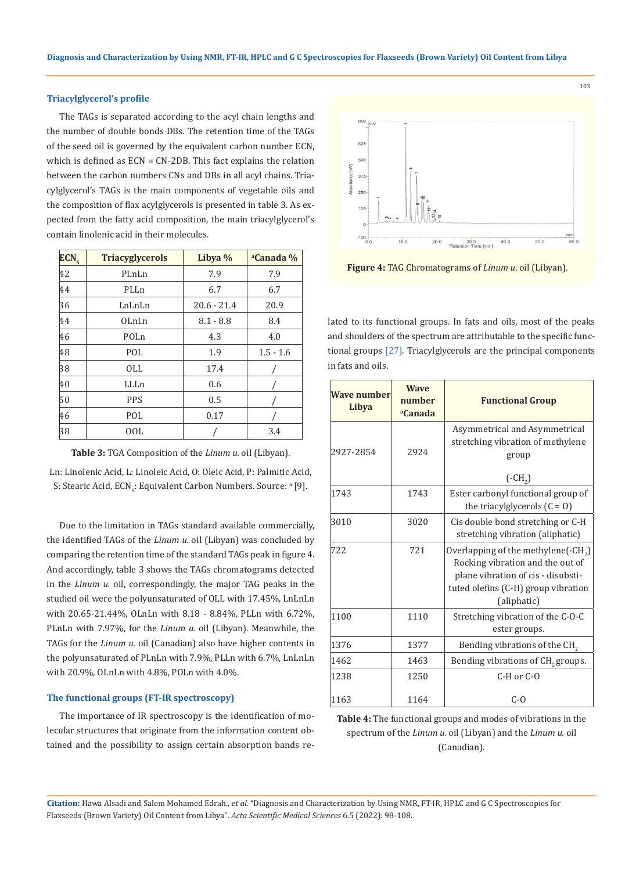#### **Triacylglycerol's profile**

The TAGs is separated according to the acyl chain lengths and the number of double bonds DBs. The retention time of the TAGs of the seed oil is governed by the equivalent carbon number ECN, which is defined as ECN = CN-2DB. This fact explains the relation between the carbon numbers CNs and DBs in all acyl chains. Triacylglycerol's TAGs is the main components of vegetable oils and the composition of flax acylglycerols is presented in table 3. As expected from the fatty acid composition, the main triacylglycerol's contain linolenic acid in their molecules.

| ECN <sub>s</sub> | <b>Triacyglycerols</b> | Libya %       | <sup>a</sup> Canada % |
|------------------|------------------------|---------------|-----------------------|
| 42               | PLnLn                  | 7.9           | 7.9                   |
| 44               | PLLn                   | 6.7           | 6.7                   |
| 36               | LnLnLn                 | $20.6 - 21.4$ | 20.9                  |
| 44               | OLnLn                  | $8.1 - 8.8$   | 8.4                   |
| 46               | POLn                   | 4.3           | 4.0                   |
| 48               | POL                    | 1.9           | $1.5 - 1.6$           |
| 38               | 0LL                    | 17.4          |                       |
| 40               | LLLn                   | 0.6           |                       |
| 50               | <b>PPS</b>             | 0.5           |                       |
| 46               | POL                    | 0.17          |                       |
| 38               | 00L                    |               | 3.4                   |

**Table 3:** TGA Composition of the *Linum u.* oil (Libyan).

Ln: Linolenic Acid, L: Linoleic Acid, O: Oleic Acid, P: Palmitic Acid, S: Stearic Acid, ECN<sub>s</sub>: Equivalent Carbon Numbers. Source: ª [9].

Due to the limitation in TAGs standard available commercially, the identified TAGs of the *Linum u.* oil (Libyan) was concluded by comparing the retention time of the standard TAGs peak in figure 4. And accordingly, table 3 shows the TAGs chromatograms detected in the *Linum u.* oil, correspondingly, the major TAG peaks in the studied oil were the polyunsaturated of OLL with 17.45%, LnLnLn with 20.65-21.44%, OLnLn with 8.18 - 8.84%, PLLn with 6.72%, PLnLn with 7.97%, for the *Linum u.* oil (Libyan). Meanwhile, the TAGs for the *Linum u.* oil (Canadian) also have higher contents in the polyunsaturated of PLnLn with 7.9%, PLLn with 6.7%, LnLnLn with 20.9%, OLnLn with 4.8%, POLn with 4.0%.

#### **The functional groups (FT-IR spectroscopy)**

The importance of IR spectroscopy is the identification of molecular structures that originate from the information content obtained and the possibility to assign certain absorption bands re-



103

**Figure 4:** TAG Chromatograms of *Linum u*. oil (Libyan).

lated to its functional groups. In fats and oils, most of the peaks and shoulders of the spectrum are attributable to the specific functional groups [27]. Triacylglycerols are the principal components in fats and oils.

| <b>Wave number</b><br>Libya | <b>Wave</b><br>number<br><sup>a</sup> Canada | <b>Functional Group</b>                                                                                                                                                        |
|-----------------------------|----------------------------------------------|--------------------------------------------------------------------------------------------------------------------------------------------------------------------------------|
| 2927-2854                   | 2924                                         | Asymmetrical and Asymmetrical<br>stretching vibration of methylene<br>group<br>$(-CH2)$                                                                                        |
| 1743                        | 1743                                         | Ester carbonyl functional group of<br>the triacylglycerols $(C = 0)$                                                                                                           |
| 3010                        | 3020                                         | Cis double bond stretching or C-H<br>stretching vibration (aliphatic)                                                                                                          |
| 722                         | 721                                          | Overlapping of the methylene( $\text{-CH}_2$ )<br>Rocking vibration and the out of<br>plane vibration of cis - disubsti-<br>tuted olefins (C-H) group vibration<br>(aliphatic) |
| 1100                        | 1110                                         | Stretching vibration of the C-O-C<br>ester groups.                                                                                                                             |
| 1376                        | 1377                                         | Bending vibrations of the CH <sub>2</sub>                                                                                                                                      |
| 1462                        | 1463                                         | Bending vibrations of CH <sub>2</sub> groups.                                                                                                                                  |
| 1238                        | 1250                                         | $C-H$ or $C-O$                                                                                                                                                                 |
| 1163                        | 1164                                         | $C-0$                                                                                                                                                                          |

**Table 4:** The functional groups and modes of vibrations in the spectrum of the *Linum u.* oil (Libyan) and the *Linum u.* oil (Canadian).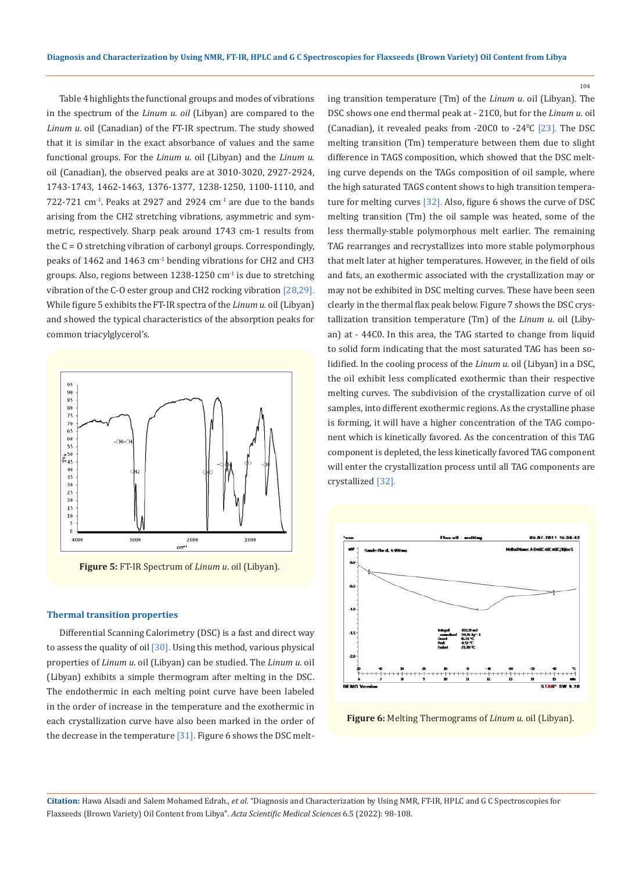Table 4 highlights the functional groups and modes of vibrations in the spectrum of the *Linum u. oil* (Libyan) are compared to the *Linum u.* oil (Canadian) of the FT-IR spectrum. The study showed that it is similar in the exact absorbance of values and the same functional groups. For the *Linum u*. oil (Libyan) and the *Linum u.* oil (Canadian), the observed peaks are at 3010-3020, 2927-2924, 1743-1743, 1462-1463, 1376-1377, 1238-1250, 1100-1110, and  $722-721$  cm<sup>-1</sup>. Peaks at 2927 and 2924 cm<sup>-1</sup> are due to the bands arising from the CH2 stretching vibrations, asymmetric and symmetric, respectively. Sharp peak around 1743 cm-1 results from the C = O stretching vibration of carbonyl groups. Correspondingly, peaks of 1462 and 1463 cm<sup>-1</sup> bending vibrations for CH2 and CH3 groups. Also, regions between 1238-1250 cm-1 is due to stretching vibration of the C-O ester group and CH2 rocking vibration [28,29]. While figure 5 exhibits the FT-IR spectra of the *Linum u.* oil (Libyan) and showed the typical characteristics of the absorption peaks for common triacylglycerol's.



**Figure 5:** FT-IR Spectrum of *Linum u*. oil (Libyan).

### **Thermal transition properties**

Differential Scanning Calorimetry (DSC) is a fast and direct way to assess the quality of oil [30]. Using this method, various physical properties of *Linum u.* oil (Libyan) can be studied. The *Linum u.* oil (Libyan) exhibits a simple thermogram after melting in the DSC. The endothermic in each melting point curve have been labeled in the order of increase in the temperature and the exothermic in each crystallization curve have also been marked in the order of the decrease in the temperature  $[31]$ . Figure 6 shows the DSC melting transition temperature (Tm) of the *Linum u*. oil (Libyan). The DSC shows one end thermal peak at - 21C0, but for the *Linum u.* oil (Canadian), it revealed peaks from  $-20C0$  to  $-24\degree$ C  $[23]$ . The DSC melting transition (Tm) temperature between them due to slight difference in TAGS composition, which showed that the DSC melting curve depends on the TAGs composition of oil sample, where the high saturated TAGS content shows to high transition temperature for melting curves [32]. Also, figure 6 shows the curve of DSC melting transition (Tm) the oil sample was heated, some of the less thermally-stable polymorphous melt earlier. The remaining TAG rearranges and recrystallizes into more stable polymorphous that melt later at higher temperatures. However, in the field of oils and fats, an exothermic associated with the crystallization may or may not be exhibited in DSC melting curves. These have been seen clearly in the thermal flax peak below. Figure 7 shows the DSC crystallization transition temperature (Tm) of the *Linum u*. oil (Libyan) at - 44C0. In this area, the TAG started to change from liquid to solid form indicating that the most saturated TAG has been solidified. In the cooling process of the *Linum u*. oil (Libyan) in a DSC, the oil exhibit less complicated exothermic than their respective melting curves. The subdivision of the crystallization curve of oil samples, into different exothermic regions. As the crystalline phase is forming, it will have a higher concentration of the TAG component which is kinetically favored. As the concentration of this TAG component is depleted, the less kinetically favored TAG component will enter the crystallization process until all TAG components are crystallized [32].

104



**Figure 6:** Melting Thermograms of *Linum u.* oil (Libyan).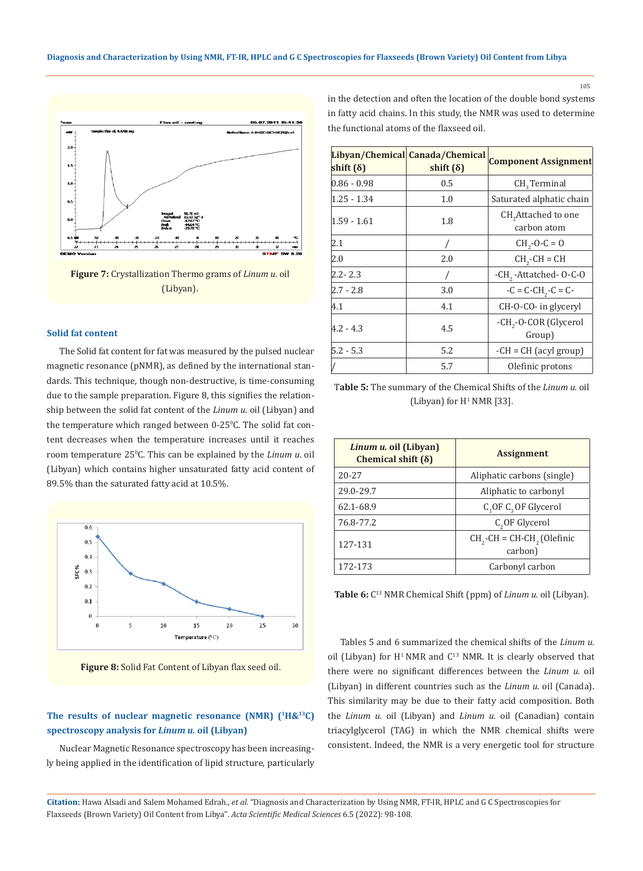

**Figure 7:** Crystallization Thermo grams of *Linum u.* oil (Libyan).

#### **Solid fat content**

The Solid fat content for fat was measured by the pulsed nuclear magnetic resonance (pNMR), as defined by the international standards. This technique, though non-destructive, is time-consuming due to the sample preparation. Figure 8, this signifies the relationship between the solid fat content of the *Linum u*. oil (Libyan) and the temperature which ranged between 0-25°C. The solid fat content decreases when the temperature increases until it reaches room temperature 25<sup>°</sup>C. This can be explained by the *Linum u*. oil (Libyan) which contains higher unsaturated fatty acid content of 89.5% than the saturated fatty acid at 10.5%.



**Figure 8:** Solid Fat Content of Libyan flax seed oil.

## The results of nuclear magnetic resonance (NMR) (<sup>1</sup>H&<sup>13</sup>C) **spectroscopy analysis for** *Linum u.* **oil (Libyan)**

Nuclear Magnetic Resonance spectroscopy has been increasingly being applied in the identification of lipid structure, particularly in the detection and often the location of the double bond systems in fatty acid chains. In this study, the NMR was used to determine the functional atoms of the flaxseed oil.

| shift $(\delta)$ | Libyan/Chemical Canada/Chemical<br>shift $(\delta)$ | <b>Component Assignment</b>                    |
|------------------|-----------------------------------------------------|------------------------------------------------|
| $0.86 - 0.98$    | 0.5                                                 | $CH3$ Terminal                                 |
| 1.25 - 1.34      | 1.0                                                 | Saturated alphatic chain                       |
| 1.59 - 1.61      | 1.8                                                 | CH <sub>2</sub> Attached to one<br>carbon atom |
| 2.1              |                                                     | $CH_2-O-C = O$                                 |
| 2.0              | 2.0                                                 | $CH2-CH = CH$                                  |
| $2.2 - 2.3$      |                                                     | -CH <sub>2</sub> -Attatched-0-C-0              |
| $2.7 - 2.8$      | 3.0                                                 | $-C = C - CH2 - C = C$                         |
| 4.1              | 4.1                                                 | CH-O-CO- in glyceryl                           |
| $4.2 - 4.3$      | 4.5                                                 | -CH <sub>2</sub> -O-COR (Glycerol<br>Group)    |
| $5.2 - 5.3$      | 5.2                                                 | $-CH = CH$ (acyl group)                        |
|                  | 5.7                                                 | Olefinic protons                               |

T**able 5:** The summary of the Chemical Shifts of the *Linum u.* oil (Libyan) for  $H^1$  NMR [33].

| Linum u. oil (Libyan)<br>Chemical shift $(\delta)$ | <b>Assignment</b>                                   |
|----------------------------------------------------|-----------------------------------------------------|
| $20 - 27$                                          | Aliphatic carbons (single)                          |
| 29.0-29.7                                          | Aliphatic to carbonyl                               |
| 62.1-68.9                                          | $C_1$ OF $C_2$ OF Glycerol                          |
| 76.8-77.2                                          | C <sub>2</sub> OF Glycerol                          |
| 127-131                                            | $CH2$ -CH = CH-CH <sub>2</sub> (Olefinic<br>carbon) |
| 172-173                                            | Carbonyl carbon                                     |

**Table 6:** C13 NMR Chemical Shift (ppm) of *Linum u.* oil (Libyan).

Tables 5 and 6 summarized the chemical shifts of the *Linum u.* oil (Libyan) for  $H^1$  NMR and  $C^{13}$  NMR. It is clearly observed that there were no significant differences between the *Linum u.* oil (Libyan) in different countries such as the *Linum u.* oil (Canada). This similarity may be due to their fatty acid composition. Both the *Linum u.* oil (Libyan) and *Linum u.* oil (Canadian) contain triacylglycerol (TAG) in which the NMR chemical shifts were consistent. Indeed, the NMR is a very energetic tool for structure

**Citation:** Hawa Alsadi and Salem Mohamed Edrah*., et al.* "Diagnosis and Characterization by Using NMR, FT-IR, HPLC and G C Spectroscopies for Flaxseeds (Brown Variety) Oil Content from Libya". *Acta Scientific Medical Sciences* 6.5 (2022): 98-108.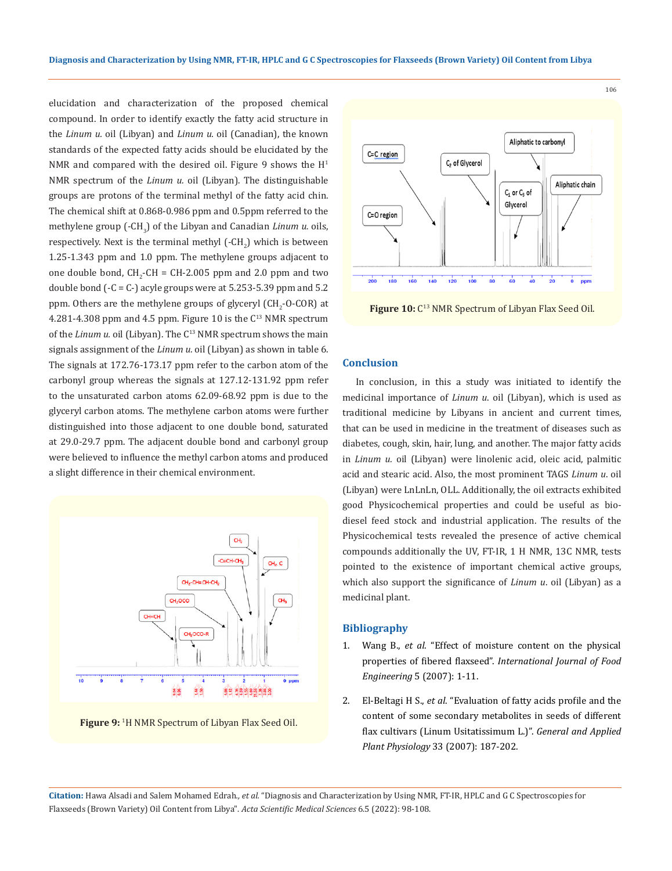elucidation and characterization of the proposed chemical compound. In order to identify exactly the fatty acid structure in the *Linum u.* oil (Libyan) and *Linum u.* oil (Canadian), the known standards of the expected fatty acids should be elucidated by the NMR and compared with the desired oil. Figure 9 shows the  $H<sup>1</sup>$ NMR spectrum of the *Linum u.* oil (Libyan). The distinguishable groups are protons of the terminal methyl of the fatty acid chin. The chemical shift at 0.868-0.986 ppm and 0.5ppm referred to the methylene group (-CH<sub>3</sub>) of the Libyan and Canadian *Linum u.* oils, respectively. Next is the terminal methyl (-CH<sub>2</sub>) which is between 1.25-1.343 ppm and 1.0 ppm. The methylene groups adjacent to one double bond,  $CH_2$ -CH = CH-2.005 ppm and 2.0 ppm and two double bond  $(-C = C<sub>-</sub>)$  acyle groups were at 5.253-5.39 ppm and 5.2 ppm. Others are the methylene groups of glyceryl (CH<sub>2</sub>-O-COR) at 4.281-4.308 ppm and 4.5 ppm. Figure 10 is the  $C^{13}$  NMR spectrum of the *Linum u.* oil (Libyan). The C<sup>13</sup> NMR spectrum shows the main signals assignment of the *Linum u.* oil (Libyan) as shown in table 6. The signals at 172.76-173.17 ppm refer to the carbon atom of the carbonyl group whereas the signals at 127.12-131.92 ppm refer to the unsaturated carbon atoms 62.09-68.92 ppm is due to the glyceryl carbon atoms. The methylene carbon atoms were further distinguished into those adjacent to one double bond, saturated at 29.0-29.7 ppm. The adjacent double bond and carbonyl group were believed to influence the methyl carbon atoms and produced a slight difference in their chemical environment.



**Figure 9:** <sup>1</sup> H NMR Spectrum of Libyan Flax Seed Oil.



Figure 10: C<sup>13</sup> NMR Spectrum of Libyan Flax Seed Oil.

#### **Conclusion**

In conclusion, in this a study was initiated to identify the medicinal importance of *Linum u*. oil (Libyan), which is used as traditional medicine by Libyans in ancient and current times, that can be used in medicine in the treatment of diseases such as diabetes, cough, skin, hair, lung, and another. The major fatty acids in *Linum u.* oil (Libyan) were linolenic acid, oleic acid, palmitic acid and stearic acid. Also, the most prominent TAGS *Linum u*. oil (Libyan) were LnLnLn, OLL. Additionally, the oil extracts exhibited good Physicochemical properties and could be useful as biodiesel feed stock and industrial application. The results of the Physicochemical tests revealed the presence of active chemical compounds additionally the UV, FT-IR, 1 H NMR, 13C NMR, tests pointed to the existence of important chemical active groups, which also support the significance of *Linum u*. oil (Libyan) as a medicinal plant.

#### **Bibliography**

- 1. Wang B., *et al*[. "Effect of moisture content on the physical](https://www.researchgate.net/publication/37988101_Effect_of_Moisture_Content_on_the_Physical_Properties_of_Fibered_Flaxseed) properties of fibered flaxseed". *[International Journal of Food](https://www.researchgate.net/publication/37988101_Effect_of_Moisture_Content_on_the_Physical_Properties_of_Fibered_Flaxseed) Engineering* [5 \(2007\): 1-11.](https://www.researchgate.net/publication/37988101_Effect_of_Moisture_Content_on_the_Physical_Properties_of_Fibered_Flaxseed)
- 2. El-Beltagi H S., *et al*[. "Evaluation of fatty acids profile and the](http://www.bio21.bas.bg/ipp/gapbfiles/v-33/07_3-4_187-202.pdf) [content of some secondary metabolites in seeds of different](http://www.bio21.bas.bg/ipp/gapbfiles/v-33/07_3-4_187-202.pdf) [flax cultivars \(Linum Usitatissimum L.\)".](http://www.bio21.bas.bg/ipp/gapbfiles/v-33/07_3-4_187-202.pdf) *General and Applied Plant Physiology* [33 \(2007\): 187-202.](http://www.bio21.bas.bg/ipp/gapbfiles/v-33/07_3-4_187-202.pdf)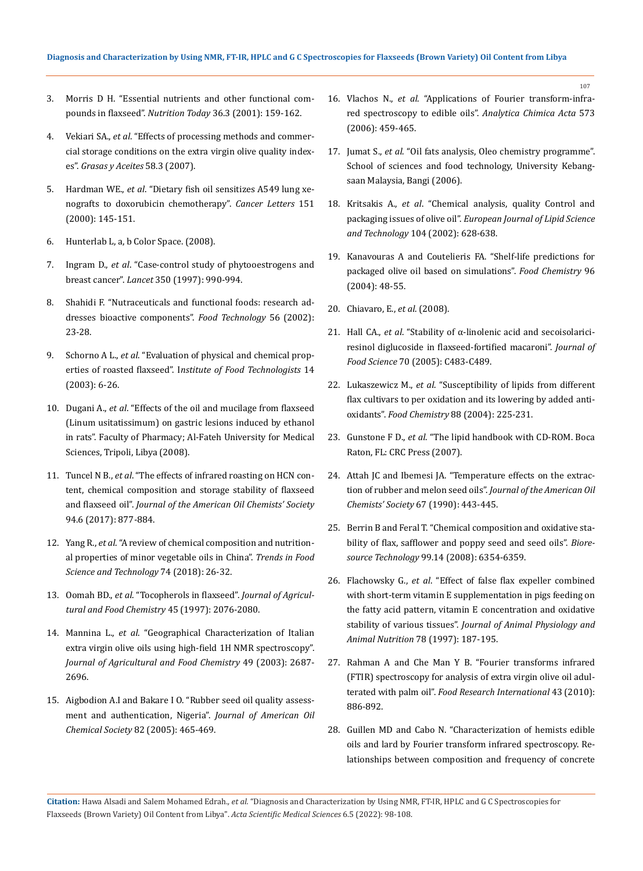- 3. [Morris D H. "Essential nutrients and other functional com](https://www.researchgate.net/publication/232120744_Essential_Nutrients_and_Other_Functional_Compounds_in_Flaxseed)pounds in flaxseed". *Nutrition Today* [36.3 \(2001\): 159-162.](https://www.researchgate.net/publication/232120744_Essential_Nutrients_and_Other_Functional_Compounds_in_Flaxseed)
- 4. Vekiari SA., *et al*[. "Effects of processing methods and commer](https://www.researchgate.net/publication/26524110_Effects_of_processing_methods_and_commercial_storage_conditions_on_the_extra_virgin_olive_oil_quality_indexes)[cial storage conditions on the extra virgin olive quality index](https://www.researchgate.net/publication/26524110_Effects_of_processing_methods_and_commercial_storage_conditions_on_the_extra_virgin_olive_oil_quality_indexes)es". *[Grasas y Aceites](https://www.researchgate.net/publication/26524110_Effects_of_processing_methods_and_commercial_storage_conditions_on_the_extra_virgin_olive_oil_quality_indexes)* 58.3 (2007).
- 5. Hardman WE., *et al*[. "Dietary fish oil sensitizes A549 lung xe](https://pubmed.ncbi.nlm.nih.gov/10738108/)[nografts to doxorubicin chemotherapy".](https://pubmed.ncbi.nlm.nih.gov/10738108/) *Cancer Letters* 151 [\(2000\): 145-151.](https://pubmed.ncbi.nlm.nih.gov/10738108/)
- 6. Hunterlab L, a, b Color Space. (2008).
- 7. Ingram D., *et al*[. "Case-control study of phytooestrogens and](https://pubmed.ncbi.nlm.nih.gov/9329514/)  breast cancer". *Lancet* [350 \(1997\): 990-994.](https://pubmed.ncbi.nlm.nih.gov/9329514/)
- 8. Shahidi F. "Nutraceuticals and functional foods: research addresses bioactive components". *Food Technology* 56 (2002): 23-28.
- 9. Schorno A L., *et al*. "Evaluation of physical and chemical properties of roasted flaxseed". I*nstitute of Food Technologists* 14 (2003): 6-26.
- 10. Dugani A., *et al*. "Effects of the oil and mucilage from flaxseed (Linum usitatissimum) on gastric lesions induced by ethanol in rats". Faculty of Pharmacy; Al-Fateh University for Medical Sciences, Tripoli, Libya (2008).
- 11. Tuncel N B., *et al*[. "The effects of infrared roasting on HCN con](https://doi.org/10.1007/s11746-017-2982-2)[tent, chemical composition and storage stability of flaxseed](https://doi.org/10.1007/s11746-017-2982-2)  and flaxseed oil". *[Journal of the American Oil Chemists' Society](https://doi.org/10.1007/s11746-017-2982-2)* [94.6 \(2017\): 877-884.](https://doi.org/10.1007/s11746-017-2982-2)
- 12. Yang R., *et al*[. "A review of chemical composition and nutrition](https://doi.org/10.1016/j.tifs.2018.01.013)[al properties of minor vegetable oils in China".](https://doi.org/10.1016/j.tifs.2018.01.013) *Trends in Food [Science and Technology](https://doi.org/10.1016/j.tifs.2018.01.013)* 74 (2018): 26-32.
- 13. Oomah BD., *et al*[. "Tocopherols in flaxseed".](https://pubs.acs.org/doi/abs/10.1021/jf960735g) *Journal of Agricul[tural and Food Chemistry](https://pubs.acs.org/doi/abs/10.1021/jf960735g)* 45 (1997): 2076-2080.
- 14. Mannina L., *et al*[. "Geographical Characterization of Italian](https://pubs.acs.org/doi/10.1021/jf001408i)  [extra virgin olive oils using high-field 1H NMR spectroscopy".](https://pubs.acs.org/doi/10.1021/jf001408i)  *[Journal of Agricultural and Food Chemistry](https://pubs.acs.org/doi/10.1021/jf001408i)* 49 (2003): 2687- [2696.](https://pubs.acs.org/doi/10.1021/jf001408i)
- 15. [Aigbodion A.I and Bakare I O. "Rubber seed oil quality assess](https://link.springer.com/article/10.1007/s11746-005-1095-0)[ment and authentication, Nigeria".](https://link.springer.com/article/10.1007/s11746-005-1095-0) *Journal of American Oil Chemical Society* [82 \(2005\): 465-469.](https://link.springer.com/article/10.1007/s11746-005-1095-0)

16. Vlachos N., *et al*[. "Applications of Fourier transform-infra](https://www.google.com/search?q=applications+of+fourier+transform-infrared+spectroscopy+to+edible+oils&rlz=1C1VDKB_enIN992IN992&oq=Applications+of+Fourier+transform-infrared+spectroscopy+to+edible+oils&aqs=chrome.0.0i512j0i22i30.11917j0j4&sourceid=chrome&ie=UTF-8)[red spectroscopy to edible oils".](https://www.google.com/search?q=applications+of+fourier+transform-infrared+spectroscopy+to+edible+oils&rlz=1C1VDKB_enIN992IN992&oq=Applications+of+Fourier+transform-infrared+spectroscopy+to+edible+oils&aqs=chrome.0.0i512j0i22i30.11917j0j4&sourceid=chrome&ie=UTF-8) *Analytica Chimica Acta* 573 [\(2006\): 459-465.](https://www.google.com/search?q=applications+of+fourier+transform-infrared+spectroscopy+to+edible+oils&rlz=1C1VDKB_enIN992IN992&oq=Applications+of+Fourier+transform-infrared+spectroscopy+to+edible+oils&aqs=chrome.0.0i512j0i22i30.11917j0j4&sourceid=chrome&ie=UTF-8)

- 17. Jumat S., *et al*. "Oil fats analysis, Oleo chemistry programme". School of sciences and food technology, University Kebangsaan Malaysia, Bangi (2006).
- 18. Kritsakis A., *et al*[. "Chemical analysis, quality Control and](https://onlinelibrary.wiley.com/doi/abs/10.1002/1438-9312%28200210%29104%3A9/10%3C628%3A%3AAID-EJLT628%3E3.0.CO%3B2-1)  packaging issues of olive oil". *[European Journal of Lipid Science](https://onlinelibrary.wiley.com/doi/abs/10.1002/1438-9312%28200210%29104%3A9/10%3C628%3A%3AAID-EJLT628%3E3.0.CO%3B2-1)  and Technology* [104 \(2002\): 628-638.](https://onlinelibrary.wiley.com/doi/abs/10.1002/1438-9312%28200210%29104%3A9/10%3C628%3A%3AAID-EJLT628%3E3.0.CO%3B2-1)
- 19. [Kanavouras A and Coutelieris FA. "Shelf-life predictions for](https://www.researchgate.net/publication/222654882_Shelf-life_predictions_for_packaged_olive_oil_based_on_simulations)  [packaged olive oil based on simulations".](https://www.researchgate.net/publication/222654882_Shelf-life_predictions_for_packaged_olive_oil_based_on_simulations) *Food Chemistry* 96 [\(2004\): 48-55.](https://www.researchgate.net/publication/222654882_Shelf-life_predictions_for_packaged_olive_oil_based_on_simulations)
- 20. Chiavaro, E., *et al*. (2008).
- 21. Hall CA., *et al*[. "Stability of α-linolenic acid and secoisolarici](https://ift.onlinelibrary.wiley.com/doi/10.1111/j.1365-2621.2005.tb11505.x)[resinol diglucoside in flaxseed-fortified macaroni".](https://ift.onlinelibrary.wiley.com/doi/10.1111/j.1365-2621.2005.tb11505.x) *Journal of Food Science* [70 \(2005\): C483-C489.](https://ift.onlinelibrary.wiley.com/doi/10.1111/j.1365-2621.2005.tb11505.x)
- 22. Lukaszewicz M., *et al*[. "Susceptibility of lipids from different](https://www.researchgate.net/publication/224858804_Susceptibility_of_lipids_from_different_flax_cultivars_to_peroxidation_and_its_lowering_by_added_antioxidants)  [flax cultivars to per oxidation and its lowering by added anti](https://www.researchgate.net/publication/224858804_Susceptibility_of_lipids_from_different_flax_cultivars_to_peroxidation_and_its_lowering_by_added_antioxidants)oxidants". *Food Chemistry* [88 \(2004\): 225-231.](https://www.researchgate.net/publication/224858804_Susceptibility_of_lipids_from_different_flax_cultivars_to_peroxidation_and_its_lowering_by_added_antioxidants)
- 23. Gunstone F D., *et al*. "The lipid handbook with CD-ROM. Boca Raton, FL: CRC Press (2007).
- 24. [Attah JC and Ibemesi JA. "Temperature effects on the extrac](https://link.springer.com/article/10.1007/BF02638958)[tion of rubber and melon seed oils".](https://link.springer.com/article/10.1007/BF02638958) *Journal of the American Oil [Chemists' Society](https://link.springer.com/article/10.1007/BF02638958)* 67 (1990): 443-445.
- 25. [Berrin B and Feral T. "Chemical composition and oxidative sta](https://pubmed.ncbi.nlm.nih.gov/18198133/)[bility of flax, safflower and poppy seed and seed oils".](https://pubmed.ncbi.nlm.nih.gov/18198133/) *Bioresource Technology* [99.14 \(2008\): 6354-6359.](https://pubmed.ncbi.nlm.nih.gov/18198133/)
- 26. Flachowsky G., *et al*[. "Effect of false flax expeller combined](https://www.researchgate.net/publication/230140932_Effect_of_false_flax_expeller_combined_with_short-term_vitamin_E_supplementation_in_pig_feeding_on_the_fatty_acid_pattern_vitamin_E_concentration_and_oxidative_stability_of_various_tissues)  [with short-term vitamin E supplementation in pigs feeding on](https://www.researchgate.net/publication/230140932_Effect_of_false_flax_expeller_combined_with_short-term_vitamin_E_supplementation_in_pig_feeding_on_the_fatty_acid_pattern_vitamin_E_concentration_and_oxidative_stability_of_various_tissues)  [the fatty acid pattern, vitamin E concentration and oxidative](https://www.researchgate.net/publication/230140932_Effect_of_false_flax_expeller_combined_with_short-term_vitamin_E_supplementation_in_pig_feeding_on_the_fatty_acid_pattern_vitamin_E_concentration_and_oxidative_stability_of_various_tissues)  stability of various tissues". *[Journal of Animal Physiology and](https://www.researchgate.net/publication/230140932_Effect_of_false_flax_expeller_combined_with_short-term_vitamin_E_supplementation_in_pig_feeding_on_the_fatty_acid_pattern_vitamin_E_concentration_and_oxidative_stability_of_various_tissues)  [Animal Nutrition](https://www.researchgate.net/publication/230140932_Effect_of_false_flax_expeller_combined_with_short-term_vitamin_E_supplementation_in_pig_feeding_on_the_fatty_acid_pattern_vitamin_E_concentration_and_oxidative_stability_of_various_tissues)* 78 (1997): 187-195.
- 27. [Rahman A and Che Man Y B. "Fourier transforms infrared](https://www.sciencedirect.com/science/article/abs/pii/S096399690900369X)  [\(FTIR\) spectroscopy for analysis of extra virgin olive oil adul](https://www.sciencedirect.com/science/article/abs/pii/S096399690900369X)terated with palm oil". *[Food Research International](https://www.sciencedirect.com/science/article/abs/pii/S096399690900369X)* 43 (2010): [886-892.](https://www.sciencedirect.com/science/article/abs/pii/S096399690900369X)
- 28. [Guillen MD and Cabo N. "Characterization of hemists edible](https://link.springer.com/article/10.1007/s11746-997-0058-4)  [oils and lard by Fourier transform infrared spectroscopy. Re](https://link.springer.com/article/10.1007/s11746-997-0058-4)[lationships between composition and frequency of concrete](https://link.springer.com/article/10.1007/s11746-997-0058-4)

**Citation:** Hawa Alsadi and Salem Mohamed Edrah*., et al.* "Diagnosis and Characterization by Using NMR, FT-IR, HPLC and G C Spectroscopies for Flaxseeds (Brown Variety) Oil Content from Libya". *Acta Scientific Medical Sciences* 6.5 (2022): 98-108.